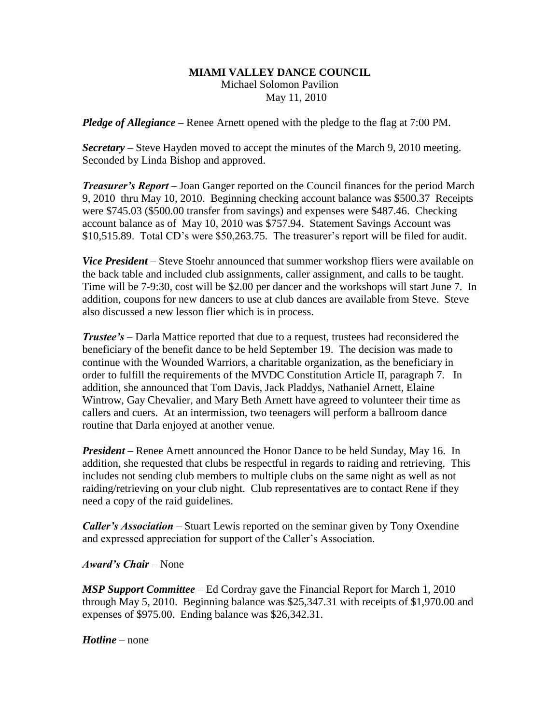## **MIAMI VALLEY DANCE COUNCIL**

Michael Solomon Pavilion May 11, 2010

*Pledge of Allegiance –* Renee Arnett opened with the pledge to the flag at 7:00 PM.

*Secretary –* Steve Hayden moved to accept the minutes of the March 9, 2010 meeting. Seconded by Linda Bishop and approved.

*Treasurer's Report* – Joan Ganger reported on the Council finances for the period March 9, 2010 thru May 10, 2010. Beginning checking account balance was \$500.37 Receipts were \$745.03 (\$500.00 transfer from savings) and expenses were \$487.46. Checking account balance as of May 10, 2010 was \$757.94. Statement Savings Account was \$10,515.89. Total CD's were \$50,263.75. The treasurer's report will be filed for audit.

*Vice President* – Steve Stoehr announced that summer workshop fliers were available on the back table and included club assignments, caller assignment, and calls to be taught. Time will be 7-9:30, cost will be \$2.00 per dancer and the workshops will start June 7. In addition, coupons for new dancers to use at club dances are available from Steve. Steve also discussed a new lesson flier which is in process.

*Trustee's* – Darla Mattice reported that due to a request, trustees had reconsidered the beneficiary of the benefit dance to be held September 19. The decision was made to continue with the Wounded Warriors, a charitable organization, as the beneficiary in order to fulfill the requirements of the MVDC Constitution Article II, paragraph 7. In addition, she announced that Tom Davis, Jack Pladdys, Nathaniel Arnett, Elaine Wintrow, Gay Chevalier, and Mary Beth Arnett have agreed to volunteer their time as callers and cuers. At an intermission, two teenagers will perform a ballroom dance routine that Darla enjoyed at another venue.

*President* – Renee Arnett announced the Honor Dance to be held Sunday, May 16. In addition, she requested that clubs be respectful in regards to raiding and retrieving. This includes not sending club members to multiple clubs on the same night as well as not raiding/retrieving on your club night. Club representatives are to contact Rene if they need a copy of the raid guidelines.

*Caller's Association* – Stuart Lewis reported on the seminar given by Tony Oxendine and expressed appreciation for support of the Caller's Association.

*Award's Chair* – None

*MSP Support Committee* – Ed Cordray gave the Financial Report for March 1, 2010 through May 5, 2010. Beginning balance was \$25,347.31 with receipts of \$1,970.00 and expenses of \$975.00. Ending balance was \$26,342.31.

*Hotline* – none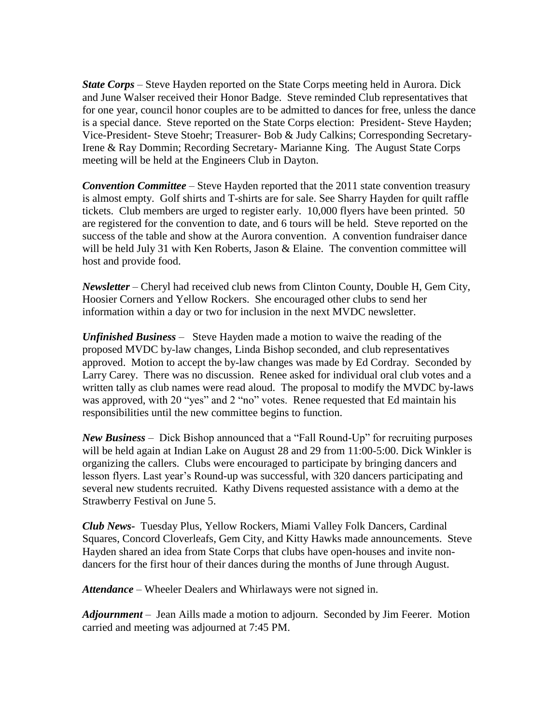*State Corps* – Steve Hayden reported on the State Corps meeting held in Aurora. Dick and June Walser received their Honor Badge. Steve reminded Club representatives that for one year, council honor couples are to be admitted to dances for free, unless the dance is a special dance. Steve reported on the State Corps election: President- Steve Hayden; Vice-President- Steve Stoehr; Treasurer- Bob & Judy Calkins; Corresponding Secretary-Irene & Ray Dommin; Recording Secretary- Marianne King. The August State Corps meeting will be held at the Engineers Club in Dayton.

*Convention Committee* – Steve Hayden reported that the 2011 state convention treasury is almost empty. Golf shirts and T-shirts are for sale. See Sharry Hayden for quilt raffle tickets. Club members are urged to register early. 10,000 flyers have been printed. 50 are registered for the convention to date, and 6 tours will be held. Steve reported on the success of the table and show at the Aurora convention. A convention fundraiser dance will be held July 31 with Ken Roberts, Jason & Elaine. The convention committee will host and provide food.

*Newsletter* – Cheryl had received club news from Clinton County, Double H, Gem City, Hoosier Corners and Yellow Rockers. She encouraged other clubs to send her information within a day or two for inclusion in the next MVDC newsletter.

*Unfinished Business* – Steve Hayden made a motion to waive the reading of the proposed MVDC by-law changes, Linda Bishop seconded, and club representatives approved. Motion to accept the by-law changes was made by Ed Cordray. Seconded by Larry Carey. There was no discussion. Renee asked for individual oral club votes and a written tally as club names were read aloud. The proposal to modify the MVDC by-laws was approved, with 20 "yes" and 2 "no" votes. Renee requested that Ed maintain his responsibilities until the new committee begins to function.

*New Business* – Dick Bishop announced that a "Fall Round-Up" for recruiting purposes will be held again at Indian Lake on August 28 and 29 from 11:00-5:00. Dick Winkler is organizing the callers. Clubs were encouraged to participate by bringing dancers and lesson flyers. Last year's Round-up was successful, with 320 dancers participating and several new students recruited. Kathy Divens requested assistance with a demo at the Strawberry Festival on June 5.

*Club News-* Tuesday Plus, Yellow Rockers, Miami Valley Folk Dancers, Cardinal Squares, Concord Cloverleafs, Gem City, and Kitty Hawks made announcements. Steve Hayden shared an idea from State Corps that clubs have open-houses and invite nondancers for the first hour of their dances during the months of June through August.

*Attendance* – Wheeler Dealers and Whirlaways were not signed in.

*Adjournment* – Jean Aills made a motion to adjourn. Seconded by Jim Feerer. Motion carried and meeting was adjourned at 7:45 PM.